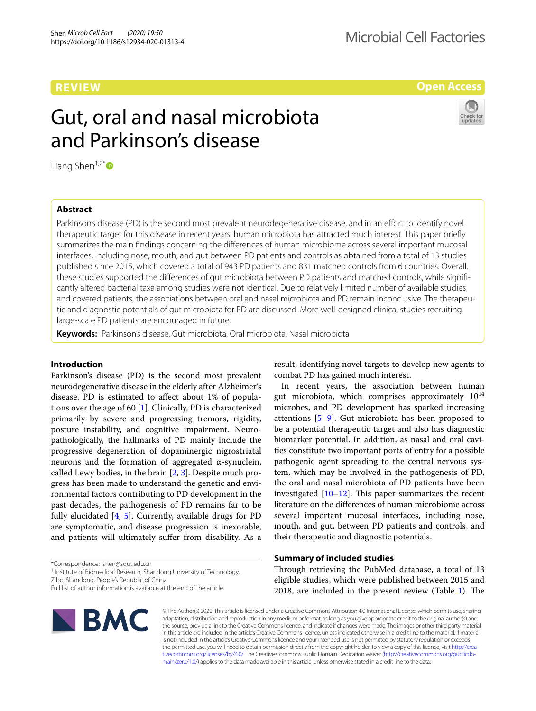# **REVIEW**

**Open Access**

# Gut, oral and nasal microbiota and Parkinson's disease

Liang Shen<sup>1,2[\\*](http://orcid.org/0000-0001-9748-8003)</sup> $\bullet$ 

# **Abstract**

Parkinson's disease (PD) is the second most prevalent neurodegenerative disease, and in an effort to identify novel therapeutic target for this disease in recent years, human microbiota has attracted much interest. This paper briefy summarizes the main fndings concerning the diferences of human microbiome across several important mucosal interfaces, including nose, mouth, and gut between PD patients and controls as obtained from a total of 13 studies published since 2015, which covered a total of 943 PD patients and 831 matched controls from 6 countries. Overall, these studies supported the diferences of gut microbiota between PD patients and matched controls, while signifcantly altered bacterial taxa among studies were not identical. Due to relatively limited number of available studies and covered patients, the associations between oral and nasal microbiota and PD remain inconclusive. The therapeutic and diagnostic potentials of gut microbiota for PD are discussed. More well-designed clinical studies recruiting large-scale PD patients are encouraged in future.

**Keywords:** Parkinson's disease, Gut microbiota, Oral microbiota, Nasal microbiota

## **Introduction**

Parkinson's disease (PD) is the second most prevalent neurodegenerative disease in the elderly after Alzheimer's disease. PD is estimated to afect about 1% of populations over the age of 60 [\[1](#page-5-0)]. Clinically, PD is characterized primarily by severe and progressing tremors, rigidity, posture instability, and cognitive impairment. Neuropathologically, the hallmarks of PD mainly include the progressive degeneration of dopaminergic nigrostriatal neurons and the formation of aggregated α-synuclein, called Lewy bodies, in the brain [[2](#page-5-1), [3\]](#page-5-2). Despite much progress has been made to understand the genetic and environmental factors contributing to PD development in the past decades, the pathogenesis of PD remains far to be fully elucidated [\[4](#page-5-3), [5\]](#page-5-4). Currently, available drugs for PD are symptomatic, and disease progression is inexorable, and patients will ultimately sufer from disability. As a

\*Correspondence: shen@sdut.edu.cn

<sup>1</sup> Institute of Biomedical Research, Shandong University of Technology,

Zibo, Shandong, People's Republic of China

Full list of author information is available at the end of the article



result, identifying novel targets to develop new agents to combat PD has gained much interest.

In recent years, the association between human gut microbiota, which comprises approximately  $10^{14}$ microbes, and PD development has sparked increasing attentions  $[5-9]$  $[5-9]$  $[5-9]$ . Gut microbiota has been proposed to be a potential therapeutic target and also has diagnostic biomarker potential. In addition, as nasal and oral cavities constitute two important ports of entry for a possible pathogenic agent spreading to the central nervous system, which may be involved in the pathogenesis of PD, the oral and nasal microbiota of PD patients have been investigated  $[10-12]$  $[10-12]$ . This paper summarizes the recent literature on the diferences of human microbiome across several important mucosal interfaces, including nose, mouth, and gut, between PD patients and controls, and their therapeutic and diagnostic potentials.

## **Summary of included studies**

Through retrieving the PubMed database, a total of 13 eligible studies, which were published between 2015 and 20[1](#page-1-0)8, are included in the present review (Table  $1$ ). The

© The Author(s) 2020. This article is licensed under a Creative Commons Attribution 4.0 International License, which permits use, sharing, adaptation, distribution and reproduction in any medium or format, as long as you give appropriate credit to the original author(s) and the source, provide a link to the Creative Commons licence, and indicate if changes were made. The images or other third party material in this article are included in the article's Creative Commons licence, unless indicated otherwise in a credit line to the material. If material is not included in the article's Creative Commons licence and your intended use is not permitted by statutory regulation or exceeds the permitted use, you will need to obtain permission directly from the copyright holder. To view a copy of this licence, visit [http://crea](http://creativecommons.org/licenses/by/4.0/)[tivecommons.org/licenses/by/4.0/.](http://creativecommons.org/licenses/by/4.0/) The Creative Commons Public Domain Dedication waiver ([http://creativecommons.org/publicdo](http://creativecommons.org/publicdomain/zero/1.0/)[main/zero/1.0/\)](http://creativecommons.org/publicdomain/zero/1.0/) applies to the data made available in this article, unless otherwise stated in a credit line to the data.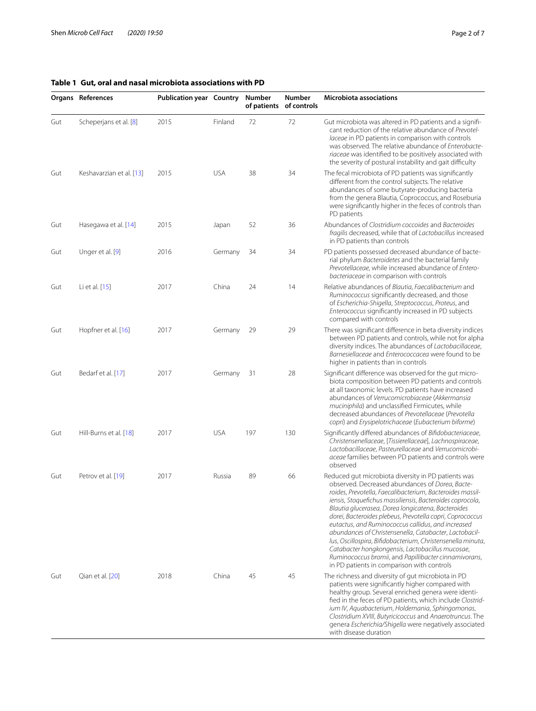# <span id="page-1-0"></span>**Table 1 Gut, oral and nasal microbiota associations with PD**

|     | Organs References        | <b>Publication year Country</b> |            | Number | <b>Number</b><br>of patients of controls | <b>Microbiota associations</b>                                                                                                                                                                                                                                                                                                                                                                                                                                                                                                                                                                                                                                                                |
|-----|--------------------------|---------------------------------|------------|--------|------------------------------------------|-----------------------------------------------------------------------------------------------------------------------------------------------------------------------------------------------------------------------------------------------------------------------------------------------------------------------------------------------------------------------------------------------------------------------------------------------------------------------------------------------------------------------------------------------------------------------------------------------------------------------------------------------------------------------------------------------|
| Gut | Scheperjans et al. [8]   | 2015                            | Finland    | 72     | 72                                       | Gut microbiota was altered in PD patients and a signifi-<br>cant reduction of the relative abundance of Prevotel-<br>laceae in PD patients in comparison with controls<br>was observed. The relative abundance of Enterobacte-<br>riaceae was identified to be positively associated with<br>the severity of postural instability and gait difficulty                                                                                                                                                                                                                                                                                                                                         |
| Gut | Keshavarzian et al. [13] | 2015                            | <b>USA</b> | 38     | 34                                       | The fecal microbiota of PD patients was significantly<br>different from the control subjects. The relative<br>abundances of some butyrate-producing bacteria<br>from the genera Blautia, Coprococcus, and Roseburia<br>were significantly higher in the feces of controls than<br>PD patients                                                                                                                                                                                                                                                                                                                                                                                                 |
| Gut | Hasegawa et al. [14]     | 2015                            | Japan      | 52     | 36                                       | Abundances of Clostridium coccoides and Bacteroides<br>fragilis decreased, while that of Lactobacillus increased<br>in PD patients than controls                                                                                                                                                                                                                                                                                                                                                                                                                                                                                                                                              |
| Gut | Unger et al. [9]         | 2016                            | Germany    | 34     | 34                                       | PD patients possessed decreased abundance of bacte-<br>rial phylum Bacteroidetes and the bacterial family<br>Prevotellaceae, while increased abundance of Entero-<br>bacteriaceae in comparison with controls                                                                                                                                                                                                                                                                                                                                                                                                                                                                                 |
| Gut | Li et al. [15]           | 2017                            | China      | 24     | 14                                       | Relative abundances of Blautia, Faecalibacterium and<br>Ruminococcus significantly decreased, and those<br>of Escherichia-Shigella, Streptococcus, Proteus, and<br>Enterococcus significantly increased in PD subjects<br>compared with controls                                                                                                                                                                                                                                                                                                                                                                                                                                              |
| Gut | Hopfner et al. [16]      | 2017                            | Germany    | 29     | 29                                       | There was significant difference in beta diversity indices<br>between PD patients and controls, while not for alpha<br>diversity indices. The abundances of Lactobacillaceae,<br>Barnesiellaceae and Enterococcacea were found to be<br>higher in patients than in controls                                                                                                                                                                                                                                                                                                                                                                                                                   |
| Gut | Bedarf et al. [17]       | 2017                            | Germany    | 31     | 28                                       | Significant difference was observed for the gut micro-<br>biota composition between PD patients and controls<br>at all taxonomic levels. PD patients have increased<br>abundances of Verrucomicrobiaceae (Akkermansia<br>muciniphila) and unclassified Firmicutes, while<br>decreased abundances of Prevotellaceae (Prevotella<br>copri) and Erysipelotrichaceae (Eubacterium biforme)                                                                                                                                                                                                                                                                                                        |
| Gut | Hill-Burns et al. [18]   | 2017                            | <b>USA</b> | 197    | 130                                      | Significantly differed abundances of Bifidobacteriaceae,<br>Christensenellaceae, [Tissierellaceae], Lachnospiraceae,<br>Lactobacillaceae, Pasteurellaceae and Verrucomicrobi-<br>aceae families between PD patients and controls were<br>observed                                                                                                                                                                                                                                                                                                                                                                                                                                             |
| Gut | Petrov et al. [19]       | 2017                            | Russia     | 89     | 66                                       | Reduced gut microbiota diversity in PD patients was<br>observed. Decreased abundances of Dorea, Bacte-<br>roides, Prevotella, Faecalibacterium, Bacteroides massil-<br>iensis, Stoquefichus massiliensis, Bacteroides coprocola,<br>Blautia glucerasea, Dorea longicatena, Bacteroides<br>dorei, Bacteroides plebeus, Prevotella copri, Coprococcus<br>eutactus, and Ruminococcus callidus, and increased<br>abundances of Christensenella, Catabacter, Lactobacil-<br>lus, Oscillospira, Bifidobacterium, Christensenella minuta,<br>Catabacter hongkongensis, Lactobacillus mucosae,<br>Ruminococcus bromii, and Papillibacter cinnamivorans,<br>in PD patients in comparison with controls |
| Gut | Qian et al. [20]         | 2018                            | China      | 45     | 45                                       | The richness and diversity of gut microbiota in PD<br>patients were significantly higher compared with<br>healthy group. Several enriched genera were identi-<br>fied in the feces of PD patients, which include Clostrid-<br>ium IV, Aquabacterium, Holdemania, Sphingomonas,<br>Clostridium XVIII, Butyricicoccus and Anaerotruncus. The<br>genera Escherichia/Shigella were negatively associated<br>with disease duration                                                                                                                                                                                                                                                                 |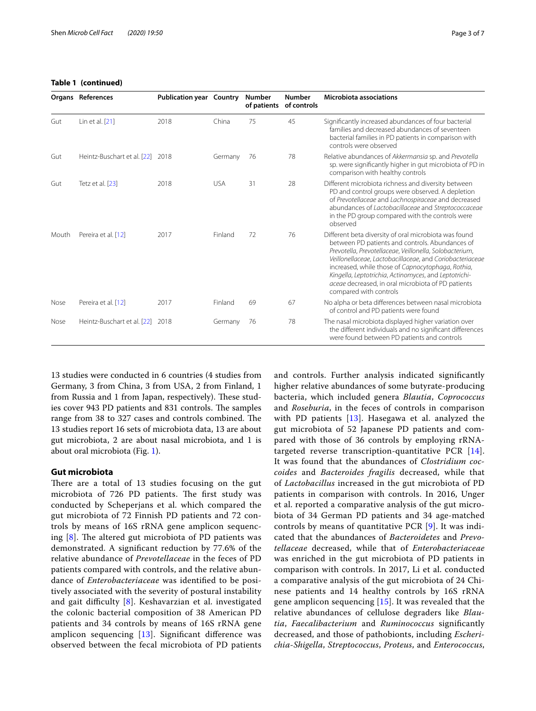# **Table 1 (continued)**  $O$ rgans **References**

| TANIC I ILVIIIIIUCUI |                                  |                                 |            |        |                                          |                                                                                                                                                                                                                                                                          |  |
|----------------------|----------------------------------|---------------------------------|------------|--------|------------------------------------------|--------------------------------------------------------------------------------------------------------------------------------------------------------------------------------------------------------------------------------------------------------------------------|--|
|                      | Organs References                | <b>Publication year Country</b> |            | Number | <b>Number</b><br>of patients of controls | <b>Microbiota associations</b>                                                                                                                                                                                                                                           |  |
| Gut                  | Lin et al. [21]                  | 2018                            | China      | 75     | 45                                       | Significantly increased abundances of four bacterial<br>families and decreased abundances of seventeen<br>bacterial families in PD patients in comparison with<br>controls were observed                                                                                 |  |
| Gut                  | Heintz-Buschart et al. [22] 2018 |                                 | Germany    | -76    | 78                                       | Relative abundances of Akkermansia sp. and Prevotella<br>sp. were significantly higher in gut microbiota of PD in<br>comparison with healthy controls                                                                                                                    |  |
| Gut                  | Tetz et al. [23]                 | 2018                            | <b>USA</b> | 31     | 28                                       | Different microbiota richness and diversity between<br>PD and control groups were observed. A depletion<br>of Prevotellaceae and Lachnospiraceae and decreased<br>abundances of Lactobacillaceae and Streptococcaceae<br>in the PD group compared with the controls were |  |

|       |                                  |      |         |    |    | observed                                                                                                                                                                                                                                                                                                                                                                                                                      |
|-------|----------------------------------|------|---------|----|----|-------------------------------------------------------------------------------------------------------------------------------------------------------------------------------------------------------------------------------------------------------------------------------------------------------------------------------------------------------------------------------------------------------------------------------|
| Mouth | Pereira et al. [12]              | 2017 | Finland | 72 | 76 | Different beta diversity of oral microbiota was found<br>between PD patients and controls. Abundances of<br>Prevotella, Prevotellaceae, Veillonella, Solobacterium,<br>Veillonellaceae, Lactobacillaceae, and Coriobacteriaceae<br>increased, while those of Capnocytophaga, Rothia,<br>Kingella, Leptotrichia, Actinomyces, and Leptotrichi-<br>aceae decreased, in oral microbiota of PD patients<br>compared with controls |
| Nose  | Pereira et al. [12]              | 2017 | Finland | 69 | 67 | No alpha or beta differences between nasal microbiota<br>of control and PD patients were found                                                                                                                                                                                                                                                                                                                                |
| Nose  | Heintz-Buschart et al. [22] 2018 |      | Germany | 76 | 78 | The nasal microbiota displayed higher variation over<br>the different individuals and no significant differences<br>were found between PD patients and controls                                                                                                                                                                                                                                                               |

13 studies were conducted in 6 countries (4 studies from Germany, 3 from China, 3 from USA, 2 from Finland, 1 from Russia and 1 from Japan, respectively). These studies cover 943 PD patients and 831 controls. The samples range from 38 to 327 cases and controls combined. The 13 studies report 16 sets of microbiota data, 13 are about gut microbiota, 2 are about nasal microbiota, and 1 is about oral microbiota (Fig. [1](#page-3-0)).

## **Gut microbiota**

There are a total of 13 studies focusing on the gut microbiota of 726 PD patients. The first study was conducted by Scheperjans et al. which compared the gut microbiota of 72 Finnish PD patients and 72 controls by means of 16S rRNA gene amplicon sequencing  $[8]$  $[8]$ . The altered gut microbiota of PD patients was demonstrated. A signifcant reduction by 77.6% of the relative abundance of *Prevotellaceae* in the feces of PD patients compared with controls, and the relative abundance of *Enterobacteriaceae* was identifed to be positively associated with the severity of postural instability and gait difficulty  $[8]$  $[8]$  $[8]$ . Keshavarzian et al. investigated the colonic bacterial composition of 38 American PD patients and 34 controls by means of 16S rRNA gene amplicon sequencing  $[13]$  $[13]$  $[13]$ . Significant difference was observed between the fecal microbiota of PD patients and controls. Further analysis indicated signifcantly higher relative abundances of some butyrate-producing bacteria, which included genera *Blautia*, *Coprococcus* and *Roseburia*, in the feces of controls in comparison with PD patients  $[13]$  $[13]$ . Hasegawa et al. analyzed the gut microbiota of 52 Japanese PD patients and compared with those of 36 controls by employing rRNAtargeted reverse transcription-quantitative PCR [[14](#page-6-1)]. It was found that the abundances of *Clostridium coccoides* and *Bacteroides fragilis* decreased, while that of *Lactobacillus* increased in the gut microbiota of PD patients in comparison with controls. In 2016, Unger et al. reported a comparative analysis of the gut microbiota of 34 German PD patients and 34 age-matched controls by means of quantitative PCR [[9](#page-5-5)]. It was indicated that the abundances of *Bacteroidetes* and *Prevotellaceae* decreased, while that of *Enterobacteriaceae* was enriched in the gut microbiota of PD patients in comparison with controls. In 2017, Li et al. conducted a comparative analysis of the gut microbiota of 24 Chinese patients and 14 healthy controls by 16S rRNA gene amplicon sequencing  $[15]$  $[15]$  $[15]$ . It was revealed that the relative abundances of cellulose degraders like *Blautia*, *Faecalibacterium* and *Ruminococcus* signifcantly decreased, and those of pathobionts, including *Escherichia*-*Shigella*, *Streptococcus*, *Proteus*, and *Enterococcus*,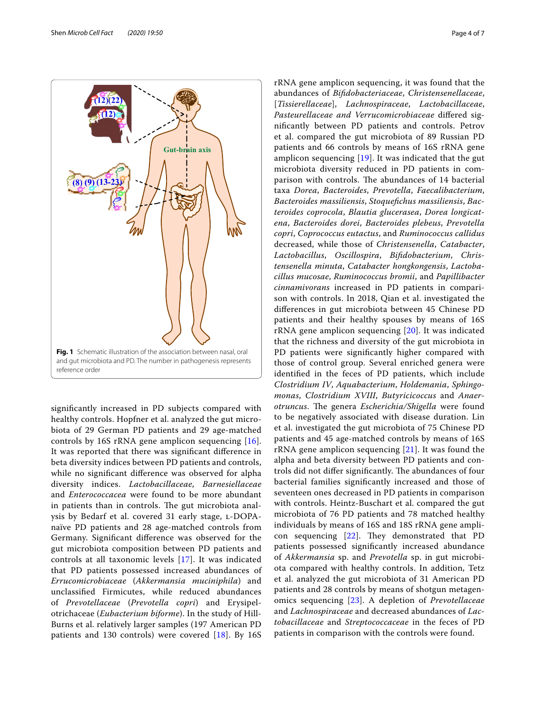

<span id="page-3-0"></span>signifcantly increased in PD subjects compared with healthy controls. Hopfner et al. analyzed the gut microbiota of 29 German PD patients and 29 age-matched controls by 16S rRNA gene amplicon sequencing [[16](#page-6-3)]. It was reported that there was signifcant diference in beta diversity indices between PD patients and controls, while no signifcant diference was observed for alpha diversity indices. *Lactobacillaceae*, *Barnesiellaceae* and *Enterococcacea* were found to be more abundant in patients than in controls. The gut microbiota analysis by Bedarf et al. covered 31 early stage, L-DOPAnaïve PD patients and 28 age-matched controls from Germany. Signifcant diference was observed for the gut microbiota composition between PD patients and controls at all taxonomic levels [[17](#page-6-4)]. It was indicated that PD patients possessed increased abundances of *Errucomicrobiaceae* (*Akkermansia muciniphila*) and unclassifed Firmicutes, while reduced abundances of *Prevotellaceae* (*Prevotella copri*) and Erysipelotrichaceae (*Eubacterium biforme*). In the study of Hill-Burns et al. relatively larger samples (197 American PD patients and 130 controls) were covered [[18\]](#page-6-5). By 16S rRNA gene amplicon sequencing, it was found that the abundances of *Bifdobacteriaceae*, *Christensenellaceae*, [*Tissierellaceae*], *Lachnospiraceae*, *Lactobacillaceae*, *Pasteurellaceae and Verrucomicrobiaceae* difered signifcantly between PD patients and controls. Petrov et al. compared the gut microbiota of 89 Russian PD patients and 66 controls by means of 16S rRNA gene amplicon sequencing  $[19]$  $[19]$ . It was indicated that the gut microbiota diversity reduced in PD patients in comparison with controls. The abundances of 14 bacterial taxa *Dorea*, *Bacteroides*, *Prevotella*, *Faecalibacterium*, *Bacteroides massiliensis*, *Stoquefchus massiliensis*, *Bacteroides coprocola*, *Blautia glucerasea*, *Dorea longicatena*, *Bacteroides dorei*, *Bacteroides plebeus*, *Prevotella copri*, *Coprococcus eutactus*, and *Ruminococcus callidus* decreased, while those of *Christensenella*, *Catabacter*, *Lactobacillus*, *Oscillospira*, *Bifdobacterium*, *Christensenella minuta*, *Catabacter hongkongensis*, *Lactobacillus mucosae*, *Ruminococcus bromii*, and *Papillibacter cinnamivorans* increased in PD patients in comparison with controls. In 2018, Qian et al. investigated the diferences in gut microbiota between 45 Chinese PD patients and their healthy spouses by means of 16S rRNA gene amplicon sequencing [[20\]](#page-6-7). It was indicated that the richness and diversity of the gut microbiota in PD patients were significantly higher compared with those of control group. Several enriched genera were identifed in the feces of PD patients, which include *Clostridium IV*, *Aquabacterium*, *Holdemania*, *Sphingomonas*, *Clostridium XVIII*, *Butyricicoccus* and *Anaer*otruncus. The genera *Escherichia/Shigella* were found to be negatively associated with disease duration. Lin et al. investigated the gut microbiota of 75 Chinese PD patients and 45 age-matched controls by means of 16S rRNA gene amplicon sequencing  $[21]$  $[21]$ . It was found the alpha and beta diversity between PD patients and controls did not differ significantly. The abundances of four bacterial families signifcantly increased and those of seventeen ones decreased in PD patients in comparison with controls. Heintz-Buschart et al. compared the gut microbiota of 76 PD patients and 78 matched healthy individuals by means of 16S and 18S rRNA gene amplicon sequencing  $[22]$  $[22]$ . They demonstrated that PD patients possessed signifcantly increased abundance of *Akkermansia* sp. and *Prevotella* sp. in gut microbiota compared with healthy controls. In addition, Tetz et al. analyzed the gut microbiota of 31 American PD patients and 28 controls by means of shotgun metagenomics sequencing [\[23\]](#page-6-10). A depletion of *Prevotellaceae* and *Lachnospiraceae* and decreased abundances of *Lactobacillaceae* and *Streptococcaceae* in the feces of PD patients in comparison with the controls were found.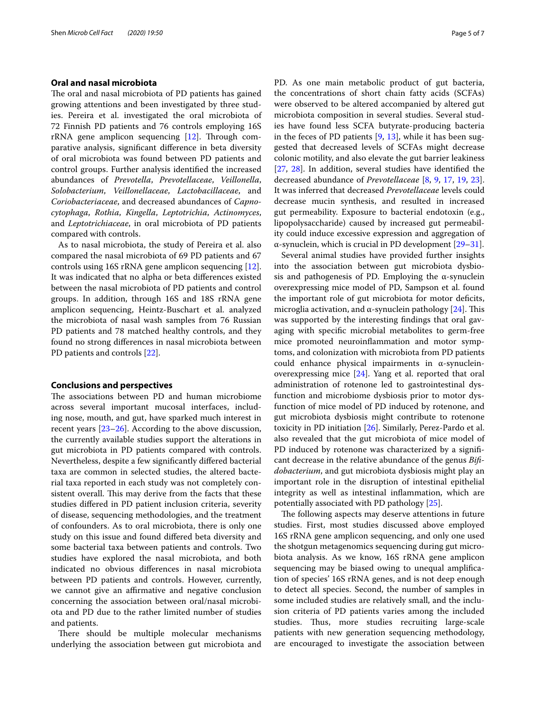### **Oral and nasal microbiota**

The oral and nasal microbiota of PD patients has gained growing attentions and been investigated by three studies. Pereira et al. investigated the oral microbiota of 72 Finnish PD patients and 76 controls employing 16S  $rRNA$  gene amplicon sequencing  $[12]$  $[12]$ . Through comparative analysis, signifcant diference in beta diversity of oral microbiota was found between PD patients and control groups. Further analysis identifed the increased abundances of *Prevotella*, *Prevotellaceae*, *Veillonella*, *Solobacterium*, *Veillonellaceae*, *Lactobacillaceae*, and *Coriobacteriaceae*, and decreased abundances of *Capnocytophaga*, *Rothia*, *Kingella*, *Leptotrichia*, *Actinomyces*, and *Leptotrichiaceae*, in oral microbiota of PD patients compared with controls.

As to nasal microbiota, the study of Pereira et al. also compared the nasal microbiota of 69 PD patients and 67 controls using 16S rRNA gene amplicon sequencing [\[12](#page-5-7)]. It was indicated that no alpha or beta diferences existed between the nasal microbiota of PD patients and control groups. In addition, through 16S and 18S rRNA gene amplicon sequencing, Heintz-Buschart et al. analyzed the microbiota of nasal wash samples from 76 Russian PD patients and 78 matched healthy controls, and they found no strong diferences in nasal microbiota between PD patients and controls [\[22\]](#page-6-9).

#### **Conclusions and perspectives**

The associations between PD and human microbiome across several important mucosal interfaces, including nose, mouth, and gut, have sparked much interest in recent years [\[23](#page-6-10)[–26](#page-6-11)]. According to the above discussion, the currently available studies support the alterations in gut microbiota in PD patients compared with controls. Nevertheless, despite a few signifcantly difered bacterial taxa are common in selected studies, the altered bacterial taxa reported in each study was not completely consistent overall. This may derive from the facts that these studies difered in PD patient inclusion criteria, severity of disease, sequencing methodologies, and the treatment of confounders. As to oral microbiota, there is only one study on this issue and found difered beta diversity and some bacterial taxa between patients and controls. Two studies have explored the nasal microbiota, and both indicated no obvious diferences in nasal microbiota between PD patients and controls. However, currently, we cannot give an afrmative and negative conclusion concerning the association between oral/nasal microbiota and PD due to the rather limited number of studies and patients.

There should be multiple molecular mechanisms underlying the association between gut microbiota and PD. As one main metabolic product of gut bacteria, the concentrations of short chain fatty acids (SCFAs) were observed to be altered accompanied by altered gut microbiota composition in several studies. Several studies have found less SCFA butyrate-producing bacteria in the feces of PD patients  $[9, 13]$  $[9, 13]$  $[9, 13]$  $[9, 13]$ , while it has been suggested that decreased levels of SCFAs might decrease colonic motility, and also elevate the gut barrier leakiness [[27,](#page-6-12) [28\]](#page-6-13). In addition, several studies have identifed the decreased abundance of *Prevotellaceae* [\[8](#page-5-8), [9,](#page-5-5) [17,](#page-6-4) [19,](#page-6-6) [23](#page-6-10)]. It was inferred that decreased *Prevotellaceae* levels could decrease mucin synthesis, and resulted in increased gut permeability. Exposure to bacterial endotoxin (e.g., lipopolysaccharide) caused by increased gut permeability could induce excessive expression and aggregation of α-synuclein, which is crucial in PD development [\[29–](#page-6-14)[31\]](#page-6-15).

Several animal studies have provided further insights into the association between gut microbiota dysbiosis and pathogenesis of PD. Employing the  $\alpha$ -synuclein overexpressing mice model of PD, Sampson et al. found the important role of gut microbiota for motor defcits, microglia activation, and  $\alpha$ -synuclein pathology [[24\]](#page-6-16). This was supported by the interesting fndings that oral gavaging with specifc microbial metabolites to germ-free mice promoted neuroinfammation and motor symptoms, and colonization with microbiota from PD patients could enhance physical impairments in α-synucleinoverexpressing mice [[24\]](#page-6-16). Yang et al. reported that oral administration of rotenone led to gastrointestinal dysfunction and microbiome dysbiosis prior to motor dysfunction of mice model of PD induced by rotenone, and gut microbiota dysbiosis might contribute to rotenone toxicity in PD initiation [\[26](#page-6-11)]. Similarly, Perez-Pardo et al. also revealed that the gut microbiota of mice model of PD induced by rotenone was characterized by a significant decrease in the relative abundance of the genus *Bifdobacterium*, and gut microbiota dysbiosis might play an important role in the disruption of intestinal epithelial integrity as well as intestinal infammation, which are potentially associated with PD pathology [[25\]](#page-6-17).

The following aspects may deserve attentions in future studies. First, most studies discussed above employed 16S rRNA gene amplicon sequencing, and only one used the shotgun metagenomics sequencing during gut microbiota analysis. As we know, 16S rRNA gene amplicon sequencing may be biased owing to unequal amplifcation of species' 16S rRNA genes, and is not deep enough to detect all species. Second, the number of samples in some included studies are relatively small, and the inclusion criteria of PD patients varies among the included studies. Thus, more studies recruiting large-scale patients with new generation sequencing methodology, are encouraged to investigate the association between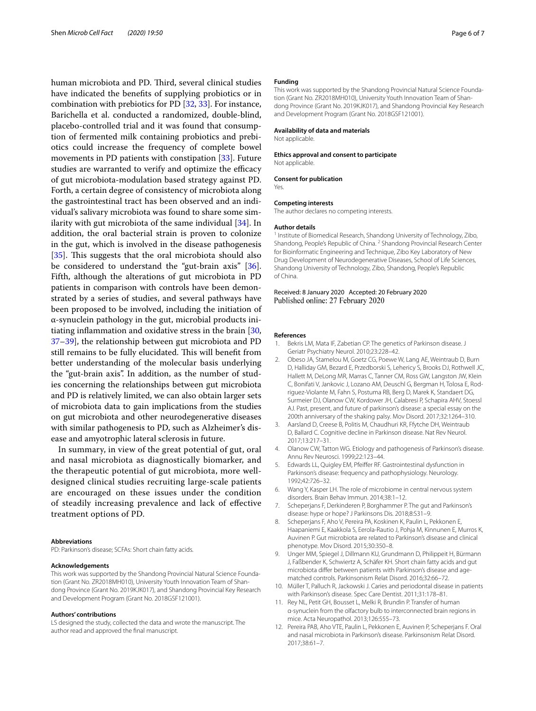human microbiota and PD. Third, several clinical studies have indicated the benefts of supplying probiotics or in combination with prebiotics for PD [\[32](#page-6-18), [33\]](#page-6-19). For instance, Barichella et al. conducted a randomized, double-blind, placebo-controlled trial and it was found that consumption of fermented milk containing probiotics and prebiotics could increase the frequency of complete bowel movements in PD patients with constipation [[33\]](#page-6-19). Future studies are warranted to verify and optimize the efficacy of gut microbiota-modulation based strategy against PD. Forth, a certain degree of consistency of microbiota along the gastrointestinal tract has been observed and an individual's salivary microbiota was found to share some similarity with gut microbiota of the same individual  $[34]$  $[34]$ . In addition, the oral bacterial strain is proven to colonize in the gut, which is involved in the disease pathogenesis [[35\]](#page-6-21). This suggests that the oral microbiota should also be considered to understand the "gut-brain axis" [\[36](#page-6-22)]. Fifth, although the alterations of gut microbiota in PD patients in comparison with controls have been demonstrated by a series of studies, and several pathways have been proposed to be involved, including the initiation of α-synuclein pathology in the gut, microbial products initiating infammation and oxidative stress in the brain [\[30](#page-6-23), [37–](#page-6-24)[39](#page-6-25)], the relationship between gut microbiota and PD still remains to be fully elucidated. This will benefit from better understanding of the molecular basis underlying the "gut-brain axis". In addition, as the number of studies concerning the relationships between gut microbiota and PD is relatively limited, we can also obtain larger sets of microbiota data to gain implications from the studies on gut microbiota and other neurodegenerative diseases with similar pathogenesis to PD, such as Alzheimer's disease and amyotrophic lateral sclerosis in future.

In summary, in view of the great potential of gut, oral and nasal microbiota as diagnostically biomarker, and the therapeutic potential of gut microbiota, more welldesigned clinical studies recruiting large-scale patients are encouraged on these issues under the condition of steadily increasing prevalence and lack of efective treatment options of PD.

#### **Abbreviations**

PD: Parkinson's disease; SCFAs: Short chain fatty acids.

#### **Acknowledgements**

This work was supported by the Shandong Provincial Natural Science Foundation (Grant No. ZR2018MH010), University Youth Innovation Team of Shandong Province (Grant No. 2019KJK017), and Shandong Provincial Key Research and Development Program (Grant No. 2018GSF121001).

#### **Authors' contributions**

LS designed the study, collected the data and wrote the manuscript. The author read and approved the fnal manuscript.

#### **Funding**

This work was supported by the Shandong Provincial Natural Science Foundation (Grant No. ZR2018MH010), University Youth Innovation Team of Shandong Province (Grant No. 2019KJK017), and Shandong Provincial Key Research and Development Program (Grant No. 2018GSF121001).

#### **Availability of data and materials**

Not applicable.

#### **Ethics approval and consent to participate**

Not applicable.

**Consent for publication**

Yes.

#### **Competing interests**

The author declares no competing interests.

#### **Author details**

<sup>1</sup> Institute of Biomedical Research, Shandong University of Technology, Zibo, Shandong, People's Republic of China. 2 Shandong Provincial Research Center for Bioinformatic Engineering and Technique, Zibo Key Laboratory of New Drug Development of Neurodegenerative Diseases, School of Life Sciences, Shandong University of Technology, Zibo, Shandong, People's Republic of China.

Received: 8 January 2020 Accepted: 20 February 2020 Published online: 27 February 2020

#### **References**

- <span id="page-5-0"></span>1. Bekris LM, Mata IF, Zabetian CP. The genetics of Parkinson disease. J Geriatr Psychiatry Neurol. 2010;23:228–42.
- <span id="page-5-1"></span>2. Obeso JA, Stamelou M, Goetz CG, Poewe W, Lang AE, Weintraub D, Burn D, Halliday GM, Bezard E, Przedborski S, Lehericy S, Brooks DJ, Rothwell JC, Hallett M, DeLong MR, Marras C, Tanner CM, Ross GW, Langston JW, Klein C, Bonifati V, Jankovic J, Lozano AM, Deuschl G, Bergman H, Tolosa E, Rodriguez-Violante M, Fahn S, Postuma RB, Berg D, Marek K, Standaert DG, Surmeier DJ, Olanow CW, Kordower JH, Calabresi P, Schapira AHV, Stoessl AJ. Past, present, and future of parkinson's disease: a special essay on the 200th anniversary of the shaking palsy. Mov Disord. 2017;32:1264–310.
- <span id="page-5-2"></span>3. Aarsland D, Creese B, Politis M, Chaudhuri KR, Ffytche DH, Weintraub D, Ballard C. Cognitive decline in Parkinson disease. Nat Rev Neurol. 2017;13:217–31.
- <span id="page-5-3"></span>4. Olanow CW, Tatton WG. Etiology and pathogenesis of Parkinson's disease. Annu Rev Neurosci. 1999;22:123–44.
- <span id="page-5-4"></span>5. Edwards LL, Quigley EM, Pfeifer RF. Gastrointestinal dysfunction in Parkinson's disease: frequency and pathophysiology. Neurology. 1992;42:726–32.
- 6. Wang Y, Kasper LH. The role of microbiome in central nervous system disorders. Brain Behav Immun. 2014;38:1–12.
- 7. Scheperjans F, Derkinderen P, Borghammer P. The gut and Parkinson's disease: hype or hope? J Parkinsons Dis. 2018;8:S31–9.
- <span id="page-5-8"></span>8. Scheperjans F, Aho V, Pereira PA, Koskinen K, Paulin L, Pekkonen E, Haapaniemi E, Kaakkola S, Eerola-Rautio J, Pohja M, Kinnunen E, Murros K, Auvinen P. Gut microbiota are related to Parkinson's disease and clinical phenotype. Mov Disord. 2015;30:350–8.
- <span id="page-5-5"></span>9. Unger MM, Spiegel J, Dillmann KU, Grundmann D, Philippeit H, Bürmann J, Faßbender K, Schwiertz A, Schäfer KH. Short chain fatty acids and gut microbiota difer between patients with Parkinson's disease and agematched controls. Parkinsonism Relat Disord. 2016;32:66–72.
- <span id="page-5-6"></span>10. Müller T, Palluch R, Jackowski J. Caries and periodontal disease in patients with Parkinson's disease. Spec Care Dentist. 2011;31:178–81.
- 11. Rey NL, Petit GH, Bousset L, Melki R, Brundin P. Transfer of human α-synuclein from the olfactory bulb to interconnected brain regions in mice. Acta Neuropathol. 2013;126:555–73.
- <span id="page-5-7"></span>12. Pereira PAB, Aho VTE, Paulin L, Pekkonen E, Auvinen P, Scheperjans F. Oral and nasal microbiota in Parkinson's disease. Parkinsonism Relat Disord. 2017;38:61–7.